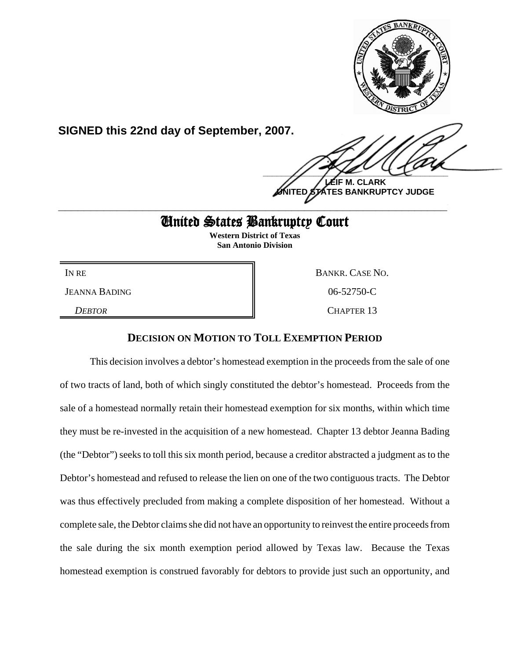

**SIGNED this 22nd day of September, 2007.**

 $\frac{1}{2}$ 

**M. CLARK <u>STES BANKRUPTCY JUDGE</u> \_\_\_\_\_\_\_\_\_\_\_\_\_\_\_\_\_\_\_\_\_\_\_\_\_\_\_\_\_\_\_\_\_\_\_\_\_\_\_\_\_\_\_\_\_\_\_\_\_\_\_\_\_\_\_\_\_\_\_\_**

# United States Bankruptcy Court

**Western District of Texas San Antonio Division**

JEANNA BADING 06-52750-C

IN RE BANKR. CASE NO. *DEBTOR* CHAPTER 13

## **DECISION ON MOTION TO TOLL EXEMPTION PERIOD**

This decision involves a debtor's homestead exemption in the proceeds from the sale of one of two tracts of land, both of which singly constituted the debtor's homestead. Proceeds from the sale of a homestead normally retain their homestead exemption for six months, within which time they must be re-invested in the acquisition of a new homestead. Chapter 13 debtor Jeanna Bading (the "Debtor") seeks to toll this six month period, because a creditor abstracted a judgment as to the Debtor's homestead and refused to release the lien on one of the two contiguous tracts. The Debtor was thus effectively precluded from making a complete disposition of her homestead. Without a complete sale, the Debtor claims she did not have an opportunity to reinvest the entire proceeds from the sale during the six month exemption period allowed by Texas law. Because the Texas homestead exemption is construed favorably for debtors to provide just such an opportunity, and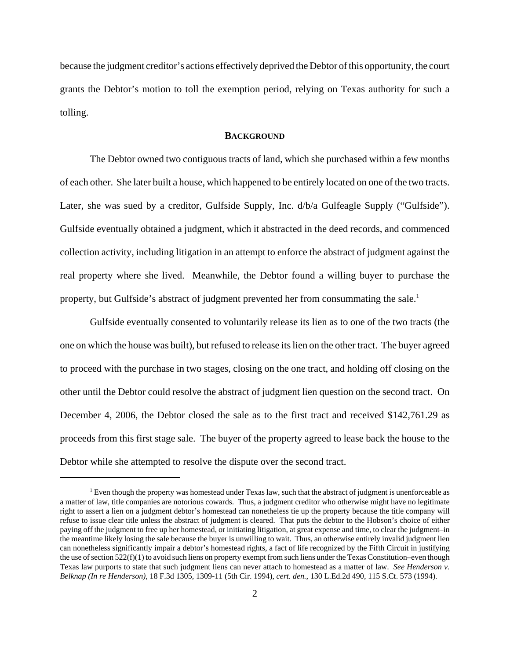because the judgment creditor's actions effectively deprived the Debtor of this opportunity, the court grants the Debtor's motion to toll the exemption period, relying on Texas authority for such a tolling.

### **BACKGROUND**

The Debtor owned two contiguous tracts of land, which she purchased within a few months of each other. She later built a house, which happened to be entirely located on one of the two tracts. Later, she was sued by a creditor, Gulfside Supply, Inc.  $d/b/a$  Gulfeagle Supply ("Gulfside"). Gulfside eventually obtained a judgment, which it abstracted in the deed records, and commenced collection activity, including litigation in an attempt to enforce the abstract of judgment against the real property where she lived. Meanwhile, the Debtor found a willing buyer to purchase the property, but Gulfside's abstract of judgment prevented her from consummating the sale.<sup>1</sup>

Gulfside eventually consented to voluntarily release its lien as to one of the two tracts (the one on which the house was built), but refused to release its lien on the other tract. The buyer agreed to proceed with the purchase in two stages, closing on the one tract, and holding off closing on the other until the Debtor could resolve the abstract of judgment lien question on the second tract. On December 4, 2006, the Debtor closed the sale as to the first tract and received \$142,761.29 as proceeds from this first stage sale. The buyer of the property agreed to lease back the house to the Debtor while she attempted to resolve the dispute over the second tract.

 $<sup>1</sup>$  Even though the property was homestead under Texas law, such that the abstract of judgment is unenforceable as</sup> a matter of law, title companies are notorious cowards. Thus, a judgment creditor who otherwise might have no legitimate right to assert a lien on a judgment debtor's homestead can nonetheless tie up the property because the title company will refuse to issue clear title unless the abstract of judgment is cleared. That puts the debtor to the Hobson's choice of either paying off the judgment to free up her homestead, or initiating litigation, at great expense and time, to clear the judgment–in the meantime likely losing the sale because the buyer is unwilling to wait. Thus, an otherwise entirely invalid judgment lien can nonetheless significantly impair a debtor's homestead rights, a fact of life recognized by the Fifth Circuit in justifying the use of section 522(f)(1) to avoid such liens on property exempt from such liens under the Texas Constitution–even though Texas law purports to state that such judgment liens can never attach to homestead as a matter of law. *See Henderson v. Belknap (In re Henderson)*, 18 F.3d 1305, 1309-11 (5th Cir. 1994), *cert. den.*, 130 L.Ed.2d 490, 115 S.Ct. 573 (1994).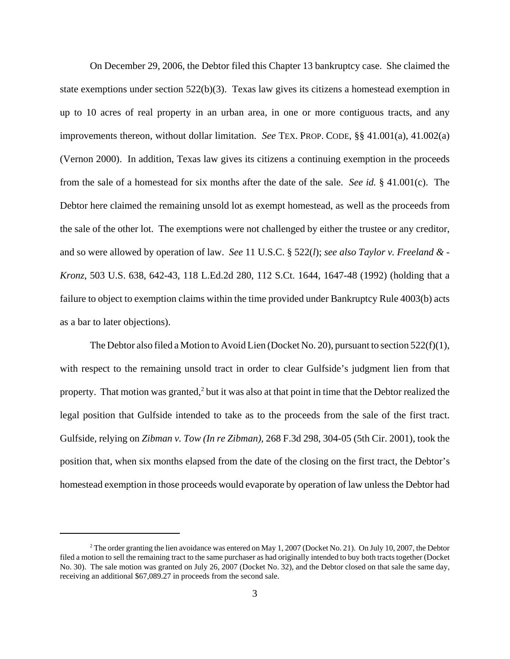On December 29, 2006, the Debtor filed this Chapter 13 bankruptcy case. She claimed the state exemptions under section 522(b)(3). Texas law gives its citizens a homestead exemption in up to 10 acres of real property in an urban area, in one or more contiguous tracts, and any improvements thereon, without dollar limitation. *See* TEX. PROP. CODE, §§ 41.001(a), 41.002(a) (Vernon 2000). In addition, Texas law gives its citizens a continuing exemption in the proceeds from the sale of a homestead for six months after the date of the sale. *See id.* § 41.001(c). The Debtor here claimed the remaining unsold lot as exempt homestead, as well as the proceeds from the sale of the other lot. The exemptions were not challenged by either the trustee or any creditor, and so were allowed by operation of law. *See* 11 U.S.C. § 522(*l*); *see also Taylor v. Freeland & - Kronz*, 503 U.S. 638, 642-43, 118 L.Ed.2d 280, 112 S.Ct. 1644, 1647-48 (1992) (holding that a failure to object to exemption claims within the time provided under Bankruptcy Rule 4003(b) acts as a bar to later objections).

The Debtor also filed a Motion to Avoid Lien (Docket No. 20), pursuant to section  $522(f)(1)$ , with respect to the remaining unsold tract in order to clear Gulfside's judgment lien from that property. That motion was granted,<sup>2</sup> but it was also at that point in time that the Debtor realized the legal position that Gulfside intended to take as to the proceeds from the sale of the first tract. Gulfside, relying on *Zibman v. Tow (In re Zibman),* 268 F.3d 298, 304-05 (5th Cir. 2001), took the position that, when six months elapsed from the date of the closing on the first tract, the Debtor's homestead exemption in those proceeds would evaporate by operation of law unless the Debtor had

<sup>&</sup>lt;sup>2</sup> The order granting the lien avoidance was entered on May 1, 2007 (Docket No. 21). On July 10, 2007, the Debtor filed a motion to sell the remaining tract to the same purchaser as had originally intended to buy both tracts together (Docket No. 30). The sale motion was granted on July 26, 2007 (Docket No. 32), and the Debtor closed on that sale the same day, receiving an additional \$67,089.27 in proceeds from the second sale.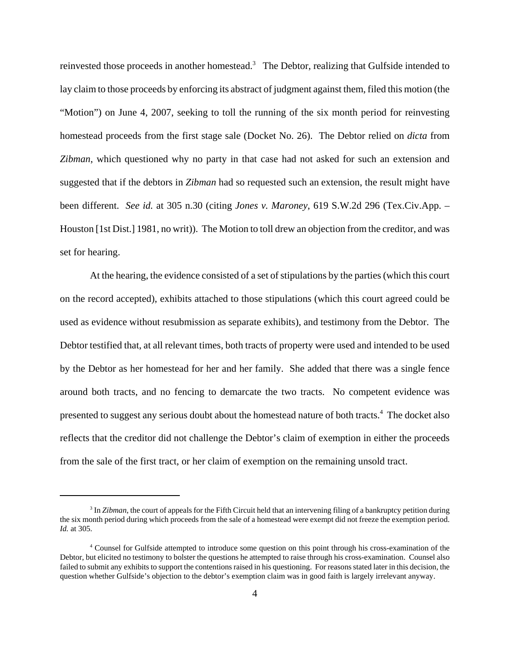reinvested those proceeds in another homestead.<sup>3</sup> The Debtor, realizing that Gulfside intended to lay claim to those proceeds by enforcing its abstract of judgment against them, filed this motion (the "Motion") on June 4, 2007, seeking to toll the running of the six month period for reinvesting homestead proceeds from the first stage sale (Docket No. 26). The Debtor relied on *dicta* from *Zibman*, which questioned why no party in that case had not asked for such an extension and suggested that if the debtors in *Zibman* had so requested such an extension, the result might have been different. *See id.* at 305 n.30 (citing *Jones v. Maroney*, 619 S.W.2d 296 (Tex.Civ.App. – Houston [1st Dist.] 1981, no writ)). The Motion to toll drew an objection from the creditor, and was set for hearing.

At the hearing, the evidence consisted of a set of stipulations by the parties (which this court on the record accepted), exhibits attached to those stipulations (which this court agreed could be used as evidence without resubmission as separate exhibits), and testimony from the Debtor. The Debtor testified that, at all relevant times, both tracts of property were used and intended to be used by the Debtor as her homestead for her and her family. She added that there was a single fence around both tracts, and no fencing to demarcate the two tracts. No competent evidence was presented to suggest any serious doubt about the homestead nature of both tracts.<sup>4</sup> The docket also reflects that the creditor did not challenge the Debtor's claim of exemption in either the proceeds from the sale of the first tract, or her claim of exemption on the remaining unsold tract.

<sup>&</sup>lt;sup>3</sup> In *Zibman*, the court of appeals for the Fifth Circuit held that an intervening filing of a bankruptcy petition during the six month period during which proceeds from the sale of a homestead were exempt did not freeze the exemption period. *Id.* at 305.

<sup>4</sup> Counsel for Gulfside attempted to introduce some question on this point through his cross-examination of the Debtor, but elicited no testimony to bolster the questions he attempted to raise through his cross-examination. Counsel also failed to submit any exhibits to support the contentions raised in his questioning. For reasons stated later in this decision, the question whether Gulfside's objection to the debtor's exemption claim was in good faith is largely irrelevant anyway.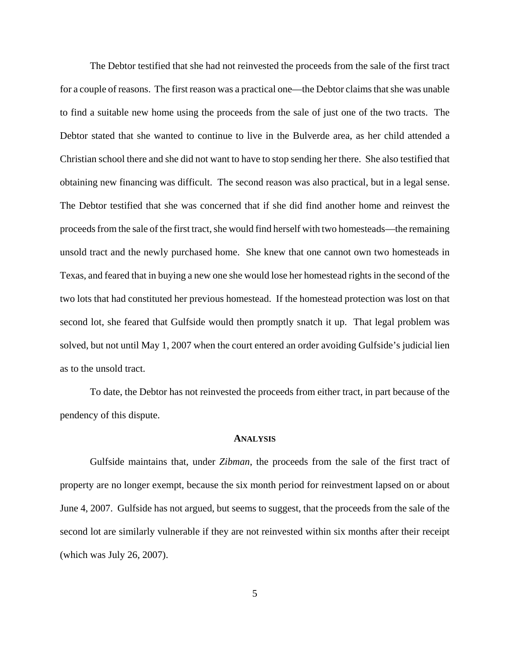The Debtor testified that she had not reinvested the proceeds from the sale of the first tract for a couple of reasons. The first reason was a practical one—the Debtor claims that she was unable to find a suitable new home using the proceeds from the sale of just one of the two tracts. The Debtor stated that she wanted to continue to live in the Bulverde area, as her child attended a Christian school there and she did not want to have to stop sending her there. She also testified that obtaining new financing was difficult. The second reason was also practical, but in a legal sense. The Debtor testified that she was concerned that if she did find another home and reinvest the proceeds from the sale of the first tract, she would find herself with two homesteads—the remaining unsold tract and the newly purchased home. She knew that one cannot own two homesteads in Texas, and feared that in buying a new one she would lose her homestead rights in the second of the two lots that had constituted her previous homestead. If the homestead protection was lost on that second lot, she feared that Gulfside would then promptly snatch it up. That legal problem was solved, but not until May 1, 2007 when the court entered an order avoiding Gulfside's judicial lien as to the unsold tract.

To date, the Debtor has not reinvested the proceeds from either tract, in part because of the pendency of this dispute.

### **ANALYSIS**

Gulfside maintains that, under *Zibman*, the proceeds from the sale of the first tract of property are no longer exempt, because the six month period for reinvestment lapsed on or about June 4, 2007. Gulfside has not argued, but seems to suggest, that the proceeds from the sale of the second lot are similarly vulnerable if they are not reinvested within six months after their receipt (which was July 26, 2007).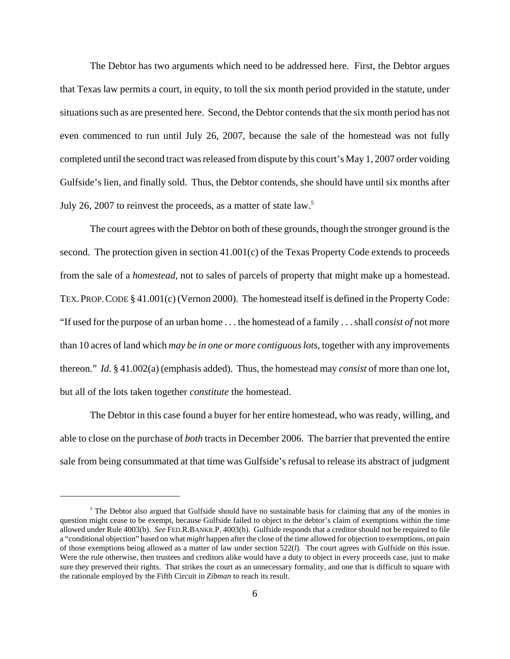The Debtor has two arguments which need to be addressed here. First, the Debtor argues that Texas law permits a court, in equity, to toll the six month period provided in the statute, under situations such as are presented here. Second, the Debtor contends that the six month period has not even commenced to run until July 26, 2007, because the sale of the homestead was not fully completed until the second tract was released from dispute by this court's May 1, 2007 order voiding Gulfside's lien, and finally sold. Thus, the Debtor contends, she should have until six months after July 26, 2007 to reinvest the proceeds, as a matter of state law.<sup>5</sup>

The court agrees with the Debtor on both of these grounds, though the stronger ground is the second. The protection given in section 41.001(c) of the Texas Property Code extends to proceeds from the sale of a *homestead*, not to sales of parcels of property that might make up a homestead. TEX.PROP.CODE § 41.001(c) (Vernon 2000). The homestead itself is defined in the Property Code: "If used for the purpose of an urban home . . . the homestead of a family . . . shall *consist of* not more than 10 acres of land which *may be in one or more contiguous lots*, together with any improvements thereon." *Id.* § 41.002(a) (emphasis added). Thus, the homestead may *consist* of more than one lot, but all of the lots taken together *constitute* the homestead.

The Debtor in this case found a buyer for her entire homestead, who was ready, willing, and able to close on the purchase of *both* tracts in December 2006. The barrier that prevented the entire sale from being consummated at that time was Gulfside's refusal to release its abstract of judgment

<sup>&</sup>lt;sup>5</sup> The Debtor also argued that Gulfside should have no sustainable basis for claiming that any of the monies in question might cease to be exempt, because Gulfside failed to object to the debtor's claim of exemptions within the time allowed under Rule 4003(b). *See* FED.R.BANKR.P. 4003(b). Gulfside responds that a creditor should not be required to file a "conditional objection" based on what *might* happen after the close of the time allowed for objection to exemptions, on pain of those exemptions being allowed as a matter of law under section 522(*l*). The court agrees with Gulfside on this issue. Were the rule otherwise, then trustees and creditors alike would have a duty to object in every proceeds case, just to make sure they preserved their rights. That strikes the court as an unnecessary formality, and one that is difficult to square with the rationale employed by the Fifth Circuit in *Zibman* to reach its result.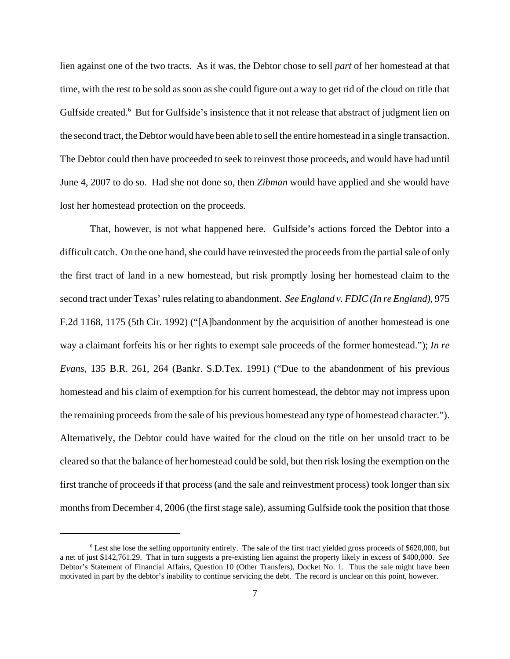lien against one of the two tracts. As it was, the Debtor chose to sell *part* of her homestead at that time, with the rest to be sold as soon as she could figure out a way to get rid of the cloud on title that Gulfside created.<sup>6</sup> But for Gulfside's insistence that it not release that abstract of judgment lien on the second tract, the Debtor would have been able to sell the entire homestead in a single transaction. The Debtor could then have proceeded to seek to reinvest those proceeds, and would have had until June 4, 2007 to do so. Had she not done so, then *Zibman* would have applied and she would have lost her homestead protection on the proceeds.

That, however, is not what happened here. Gulfside's actions forced the Debtor into a difficult catch. On the one hand, she could have reinvested the proceeds from the partial sale of only the first tract of land in a new homestead, but risk promptly losing her homestead claim to the second tract under Texas' rules relating to abandonment. *See England v. FDIC (In re England)*, 975 F.2d 1168, 1175 (5th Cir. 1992) ("[A]bandonment by the acquisition of another homestead is one way a claimant forfeits his or her rights to exempt sale proceeds of the former homestead."); *In re Evans*, 135 B.R. 261, 264 (Bankr. S.D.Tex. 1991) ("Due to the abandonment of his previous homestead and his claim of exemption for his current homestead, the debtor may not impress upon the remaining proceeds from the sale of his previous homestead any type of homestead character."). Alternatively, the Debtor could have waited for the cloud on the title on her unsold tract to be cleared so that the balance of her homestead could be sold, but then risk losing the exemption on the first tranche of proceeds if that process (and the sale and reinvestment process) took longer than six months from December 4, 2006 (the first stage sale), assuming Gulfside took the position that those

<sup>&</sup>lt;sup>6</sup> Lest she lose the selling opportunity entirely. The sale of the first tract yielded gross proceeds of \$620,000, but a net of just \$142,761.29. That in turn suggests a pre-existing lien against the property likely in excess of \$400,000. *See* Debtor's Statement of Financial Affairs, Question 10 (Other Transfers), Docket No. 1. Thus the sale might have been motivated in part by the debtor's inability to continue servicing the debt. The record is unclear on this point, however.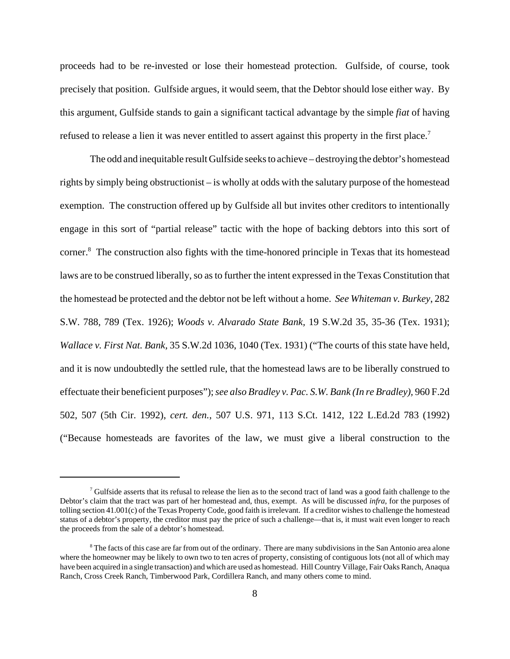proceeds had to be re-invested or lose their homestead protection. Gulfside, of course, took precisely that position. Gulfside argues, it would seem, that the Debtor should lose either way. By this argument, Gulfside stands to gain a significant tactical advantage by the simple *fiat* of having refused to release a lien it was never entitled to assert against this property in the first place.<sup>7</sup>

The odd and inequitable result Gulfside seeks to achieve – destroying the debtor's homestead rights by simply being obstructionist – is wholly at odds with the salutary purpose of the homestead exemption. The construction offered up by Gulfside all but invites other creditors to intentionally engage in this sort of "partial release" tactic with the hope of backing debtors into this sort of corner.<sup>8</sup> The construction also fights with the time-honored principle in Texas that its homestead laws are to be construed liberally, so as to further the intent expressed in the Texas Constitution that the homestead be protected and the debtor not be left without a home. *See Whiteman v. Burkey*, 282 S.W. 788, 789 (Tex. 1926); *Woods v. Alvarado State Bank,* 19 S.W.2d 35, 35-36 (Tex. 1931); *Wallace v. First Nat. Bank,* 35 S.W.2d 1036, 1040 (Tex. 1931) ("The courts of this state have held, and it is now undoubtedly the settled rule, that the homestead laws are to be liberally construed to effectuate their beneficient purposes"); *see also Bradley v. Pac. S.W. Bank (In re Bradley),* 960 F.2d 502, 507 (5th Cir. 1992), *cert. den.*, 507 U.S. 971, 113 S.Ct. 1412, 122 L.Ed.2d 783 (1992) ("Because homesteads are favorites of the law, we must give a liberal construction to the

<sup>&</sup>lt;sup>7</sup> Gulfside asserts that its refusal to release the lien as to the second tract of land was a good faith challenge to the Debtor's claim that the tract was part of her homestead and, thus, exempt. As will be discussed *infra*, for the purposes of tolling section 41.001(c) of the Texas Property Code, good faith is irrelevant. If a creditor wishes to challenge the homestead status of a debtor's property, the creditor must pay the price of such a challenge—that is, it must wait even longer to reach the proceeds from the sale of a debtor's homestead.

<sup>&</sup>lt;sup>8</sup> The facts of this case are far from out of the ordinary. There are many subdivisions in the San Antonio area alone where the homeowner may be likely to own two to ten acres of property, consisting of contiguous lots (not all of which may have been acquired in a single transaction) and which are used as homestead. Hill Country Village, Fair Oaks Ranch, Anaqua Ranch, Cross Creek Ranch, Timberwood Park, Cordillera Ranch, and many others come to mind.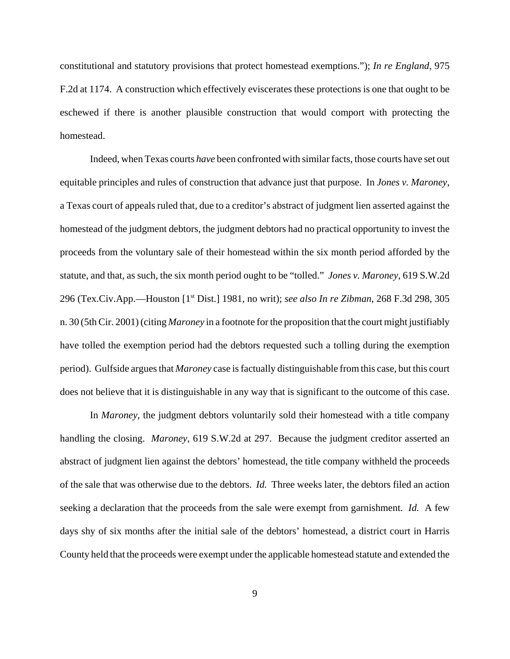constitutional and statutory provisions that protect homestead exemptions."); *In re England*, 975 F.2d at 1174. A construction which effectively eviscerates these protections is one that ought to be eschewed if there is another plausible construction that would comport with protecting the homestead.

Indeed, when Texas courts *have* been confronted with similar facts, those courts have set out equitable principles and rules of construction that advance just that purpose. In *Jones v. Maroney*, a Texas court of appeals ruled that, due to a creditor's abstract of judgment lien asserted against the homestead of the judgment debtors, the judgment debtors had no practical opportunity to invest the proceeds from the voluntary sale of their homestead within the six month period afforded by the statute, and that, as such, the six month period ought to be "tolled." *Jones v. Maroney*, 619 S.W.2d 296 (Tex.Civ.App.—Houston [1st Dist.] 1981, no writ); *see also In re Zibman*, 268 F.3d 298, 305 n. 30 (5th Cir. 2001) (citing *Maroney* in a footnote for the proposition that the court might justifiably have tolled the exemption period had the debtors requested such a tolling during the exemption period). Gulfside argues that *Maroney* case is factually distinguishable from this case, but this court does not believe that it is distinguishable in any way that is significant to the outcome of this case.

In *Maroney*, the judgment debtors voluntarily sold their homestead with a title company handling the closing. *Maroney*, 619 S.W.2d at 297. Because the judgment creditor asserted an abstract of judgment lien against the debtors' homestead, the title company withheld the proceeds of the sale that was otherwise due to the debtors. *Id.* Three weeks later, the debtors filed an action seeking a declaration that the proceeds from the sale were exempt from garnishment. *Id.* A few days shy of six months after the initial sale of the debtors' homestead, a district court in Harris County held that the proceeds were exempt under the applicable homestead statute and extended the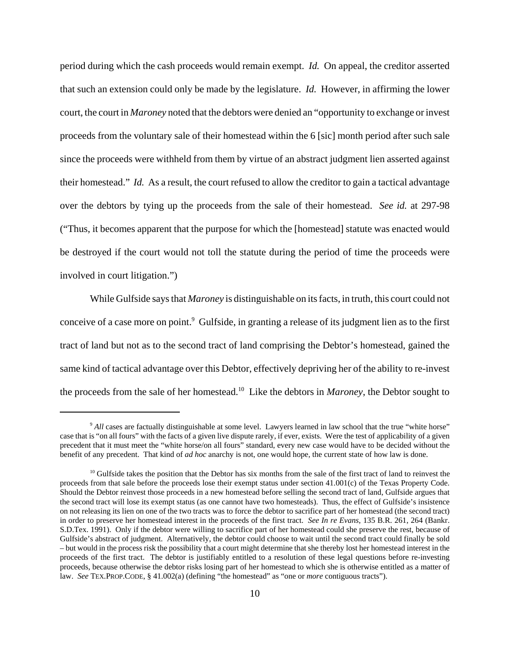period during which the cash proceeds would remain exempt. *Id.* On appeal, the creditor asserted that such an extension could only be made by the legislature. *Id.* However, in affirming the lower court, the court in *Maroney* noted that the debtors were denied an "opportunity to exchange or invest proceeds from the voluntary sale of their homestead within the 6 [sic] month period after such sale since the proceeds were withheld from them by virtue of an abstract judgment lien asserted against their homestead." *Id.* As a result, the court refused to allow the creditor to gain a tactical advantage over the debtors by tying up the proceeds from the sale of their homestead. *See id.* at 297-98 ("Thus, it becomes apparent that the purpose for which the [homestead] statute was enacted would be destroyed if the court would not toll the statute during the period of time the proceeds were involved in court litigation.")

While Gulfside says that *Maroney* is distinguishable on its facts, in truth, this court could not conceive of a case more on point.<sup>9</sup> Gulfside, in granting a release of its judgment lien as to the first tract of land but not as to the second tract of land comprising the Debtor's homestead, gained the same kind of tactical advantage over this Debtor, effectively depriving her of the ability to re-invest the proceeds from the sale of her homestead.10 Like the debtors in *Maroney*, the Debtor sought to

<sup>9</sup> *All* cases are factually distinguishable at some level. Lawyers learned in law school that the true "white horse" case that is "on all fours" with the facts of a given live dispute rarely, if ever, exists. Were the test of applicability of a given precedent that it must meet the "white horse/on all fours" standard, every new case would have to be decided without the benefit of any precedent. That kind of *ad hoc* anarchy is not, one would hope, the current state of how law is done.

 $10$  Gulfside takes the position that the Debtor has six months from the sale of the first tract of land to reinvest the proceeds from that sale before the proceeds lose their exempt status under section 41.001(c) of the Texas Property Code. Should the Debtor reinvest those proceeds in a new homestead before selling the second tract of land, Gulfside argues that the second tract will lose its exempt status (as one cannot have two homesteads). Thus, the effect of Gulfside's insistence on not releasing its lien on one of the two tracts was to force the debtor to sacrifice part of her homestead (the second tract) in order to preserve her homestead interest in the proceeds of the first tract. *See In re Evans*, 135 B.R. 261, 264 (Bankr. S.D.Tex. 1991). Only if the debtor were willing to sacrifice part of her homestead could she preserve the rest, because of Gulfside's abstract of judgment. Alternatively, the debtor could choose to wait until the second tract could finally be sold – but would in the process risk the possibility that a court might determine that she thereby lost her homestead interest in the proceeds of the first tract. The debtor is justifiably entitled to a resolution of these legal questions before re-investing proceeds, because otherwise the debtor risks losing part of her homestead to which she is otherwise entitled as a matter of law. *See* TEX.PROP.CODE, § 41.002(a) (defining "the homestead" as "one or *more* contiguous tracts").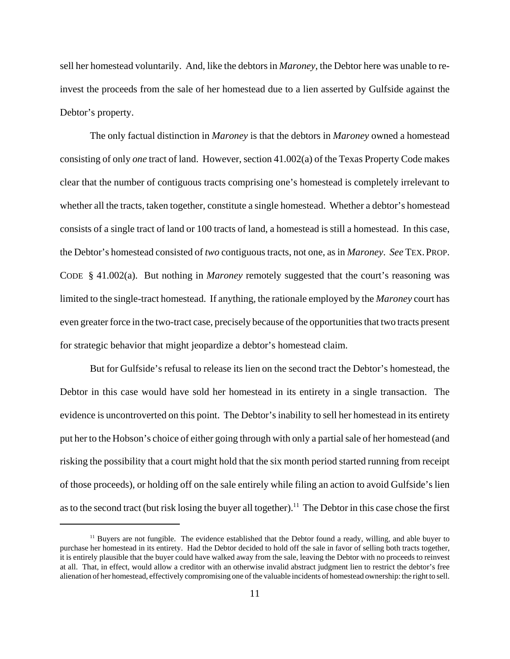sell her homestead voluntarily. And, like the debtors in *Maroney*, the Debtor here was unable to reinvest the proceeds from the sale of her homestead due to a lien asserted by Gulfside against the Debtor's property.

The only factual distinction in *Maroney* is that the debtors in *Maroney* owned a homestead consisting of only *one* tract of land. However, section 41.002(a) of the Texas Property Code makes clear that the number of contiguous tracts comprising one's homestead is completely irrelevant to whether all the tracts, taken together, constitute a single homestead. Whether a debtor's homestead consists of a single tract of land or 100 tracts of land, a homestead is still a homestead. In this case, the Debtor's homestead consisted of *two* contiguous tracts, not one, as in *Maroney*. *See* TEX. PROP. CODE § 41.002(a). But nothing in *Maroney* remotely suggested that the court's reasoning was limited to the single-tract homestead. If anything, the rationale employed by the *Maroney* court has even greater force in the two-tract case, precisely because of the opportunities that two tracts present for strategic behavior that might jeopardize a debtor's homestead claim.

But for Gulfside's refusal to release its lien on the second tract the Debtor's homestead, the Debtor in this case would have sold her homestead in its entirety in a single transaction. The evidence is uncontroverted on this point. The Debtor's inability to sell her homestead in its entirety put her to the Hobson's choice of either going through with only a partial sale of her homestead (and risking the possibility that a court might hold that the six month period started running from receipt of those proceeds), or holding off on the sale entirely while filing an action to avoid Gulfside's lien as to the second tract (but risk losing the buyer all together).<sup>11</sup> The Debtor in this case chose the first

 $11$  Buyers are not fungible. The evidence established that the Debtor found a ready, willing, and able buyer to purchase her homestead in its entirety. Had the Debtor decided to hold off the sale in favor of selling both tracts together, it is entirely plausible that the buyer could have walked away from the sale, leaving the Debtor with no proceeds to reinvest at all. That, in effect, would allow a creditor with an otherwise invalid abstract judgment lien to restrict the debtor's free alienation of her homestead, effectively compromising one of the valuable incidents of homestead ownership: the right to sell.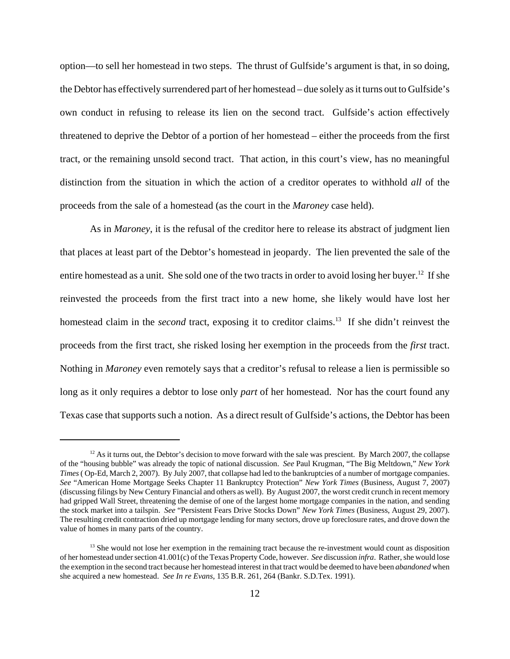option—to sell her homestead in two steps. The thrust of Gulfside's argument is that, in so doing, the Debtor has effectively surrendered part of her homestead – due solely as it turns out to Gulfside's own conduct in refusing to release its lien on the second tract. Gulfside's action effectively threatened to deprive the Debtor of a portion of her homestead – either the proceeds from the first tract, or the remaining unsold second tract. That action, in this court's view, has no meaningful distinction from the situation in which the action of a creditor operates to withhold *all* of the proceeds from the sale of a homestead (as the court in the *Maroney* case held).

As in *Maroney*, it is the refusal of the creditor here to release its abstract of judgment lien that places at least part of the Debtor's homestead in jeopardy. The lien prevented the sale of the entire homestead as a unit. She sold one of the two tracts in order to avoid losing her buyer.<sup>12</sup> If she reinvested the proceeds from the first tract into a new home, she likely would have lost her homestead claim in the *second* tract, exposing it to creditor claims.<sup>13</sup> If she didn't reinvest the proceeds from the first tract, she risked losing her exemption in the proceeds from the *first* tract. Nothing in *Maroney* even remotely says that a creditor's refusal to release a lien is permissible so long as it only requires a debtor to lose only *part* of her homestead. Nor has the court found any Texas case that supports such a notion. As a direct result of Gulfside's actions, the Debtor has been

<sup>&</sup>lt;sup>12</sup> As it turns out, the Debtor's decision to move forward with the sale was prescient. By March 2007, the collapse of the "housing bubble" was already the topic of national discussion. *See* Paul Krugman, "The Big Meltdown," *New York Times* ( Op-Ed, March 2, 2007). By July 2007, that collapse had led to the bankruptcies of a number of mortgage companies. *See* "American Home Mortgage Seeks Chapter 11 Bankruptcy Protection" *New York Times* (Business, August 7, 2007) (discussing filings by New Century Financial and others as well). By August 2007, the worst credit crunch in recent memory had gripped Wall Street, threatening the demise of one of the largest home mortgage companies in the nation, and sending the stock market into a tailspin. *See* "Persistent Fears Drive Stocks Down" *New York Times* (Business, August 29, 2007). The resulting credit contraction dried up mortgage lending for many sectors, drove up foreclosure rates, and drove down the value of homes in many parts of the country.

<sup>&</sup>lt;sup>13</sup> She would not lose her exemption in the remaining tract because the re-investment would count as disposition of her homestead under section 41.001(c) of the Texas Property Code, however. *See* discussion *infra*. Rather, she would lose the exemption in the second tract because her homestead interest in that tract would be deemed to have been *abandoned* when she acquired a new homestead. *See In re Evans*, 135 B.R. 261, 264 (Bankr. S.D.Tex. 1991).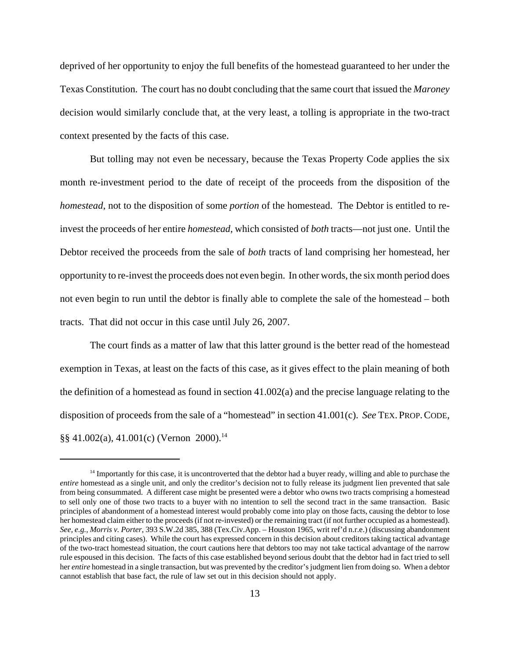deprived of her opportunity to enjoy the full benefits of the homestead guaranteed to her under the Texas Constitution. The court has no doubt concluding that the same court that issued the *Maroney* decision would similarly conclude that, at the very least, a tolling is appropriate in the two-tract context presented by the facts of this case.

But tolling may not even be necessary, because the Texas Property Code applies the six month re-investment period to the date of receipt of the proceeds from the disposition of the *homestead*, not to the disposition of some *portion* of the homestead. The Debtor is entitled to reinvest the proceeds of her entire *homestead*, which consisted of *both* tracts—not just one. Until the Debtor received the proceeds from the sale of *both* tracts of land comprising her homestead, her opportunity to re-invest the proceeds does not even begin. In other words, the six month period does not even begin to run until the debtor is finally able to complete the sale of the homestead – both tracts. That did not occur in this case until July 26, 2007.

The court finds as a matter of law that this latter ground is the better read of the homestead exemption in Texas, at least on the facts of this case, as it gives effect to the plain meaning of both the definition of a homestead as found in section 41.002(a) and the precise language relating to the disposition of proceeds from the sale of a "homestead" in section 41.001(c). *See* TEX. PROP.CODE,  $\S$ § 41.002(a), 41.001(c) (Vernon 2000).<sup>14</sup>

<sup>&</sup>lt;sup>14</sup> Importantly for this case, it is uncontroverted that the debtor had a buyer ready, willing and able to purchase the *entire* homestead as a single unit, and only the creditor's decision not to fully release its judgment lien prevented that sale from being consummated. A different case might be presented were a debtor who owns two tracts comprising a homestead to sell only one of those two tracts to a buyer with no intention to sell the second tract in the same transaction. Basic principles of abandonment of a homestead interest would probably come into play on those facts, causing the debtor to lose her homestead claim either to the proceeds (if not re-invested) or the remaining tract (if not further occupied as a homestead). *See, e.g., Morris v. Porter*, 393 S.W.2d 385, 388 (Tex.Civ.App. – Houston 1965, writ ref'd n.r.e.) (discussing abandonment principles and citing cases). While the court has expressed concern in this decision about creditors taking tactical advantage of the two-tract homestead situation, the court cautions here that debtors too may not take tactical advantage of the narrow rule espoused in this decision. The facts of this case established beyond serious doubt that the debtor had in fact tried to sell her *entire* homestead in a single transaction, but was prevented by the creditor's judgment lien from doing so. When a debtor cannot establish that base fact, the rule of law set out in this decision should not apply.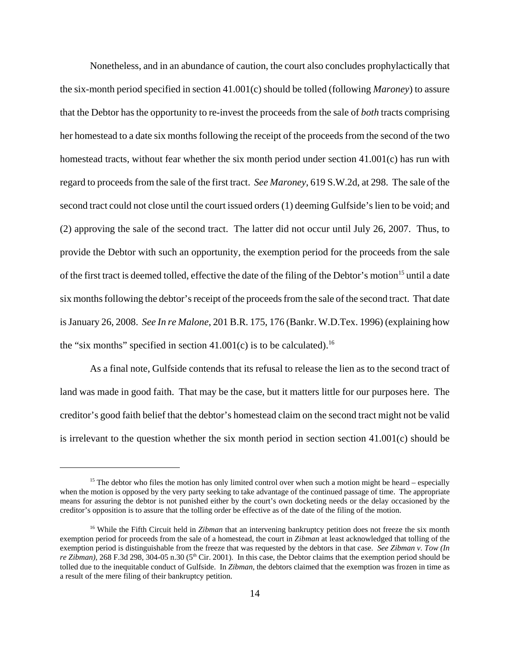Nonetheless, and in an abundance of caution, the court also concludes prophylactically that the six-month period specified in section 41.001(c) should be tolled (following *Maroney*) to assure that the Debtor has the opportunity to re-invest the proceeds from the sale of *both* tracts comprising her homestead to a date six months following the receipt of the proceeds from the second of the two homestead tracts, without fear whether the six month period under section 41.001(c) has run with regard to proceeds from the sale of the first tract. *See Maroney*, 619 S.W.2d, at 298. The sale of the second tract could not close until the court issued orders (1) deeming Gulfside's lien to be void; and (2) approving the sale of the second tract. The latter did not occur until July 26, 2007. Thus, to provide the Debtor with such an opportunity, the exemption period for the proceeds from the sale of the first tract is deemed tolled, effective the date of the filing of the Debtor's motion<sup>15</sup> until a date six months following the debtor's receipt of the proceeds from the sale of the second tract. That date is January 26, 2008. *See In re Malone*, 201 B.R. 175, 176 (Bankr. W.D.Tex. 1996) (explaining how the "six months" specified in section  $41.001(c)$  is to be calculated).<sup>16</sup>

As a final note, Gulfside contends that its refusal to release the lien as to the second tract of land was made in good faith. That may be the case, but it matters little for our purposes here. The creditor's good faith belief that the debtor's homestead claim on the second tract might not be valid is irrelevant to the question whether the six month period in section section 41.001(c) should be

<sup>&</sup>lt;sup>15</sup> The debtor who files the motion has only limited control over when such a motion might be heard – especially when the motion is opposed by the very party seeking to take advantage of the continued passage of time. The appropriate means for assuring the debtor is not punished either by the court's own docketing needs or the delay occasioned by the creditor's opposition is to assure that the tolling order be effective as of the date of the filing of the motion.

<sup>&</sup>lt;sup>16</sup> While the Fifth Circuit held in *Zibman* that an intervening bankruptcy petition does not freeze the six month exemption period for proceeds from the sale of a homestead, the court in *Zibman* at least acknowledged that tolling of the exemption period is distinguishable from the freeze that was requested by the debtors in that case. *See Zibman v. Tow (In re Zibman*), 268 F.3d 298, 304-05 n.30 (5<sup>th</sup> Cir. 2001). In this case, the Debtor claims that the exemption period should be tolled due to the inequitable conduct of Gulfside. In *Zibman*, the debtors claimed that the exemption was frozen in time as a result of the mere filing of their bankruptcy petition.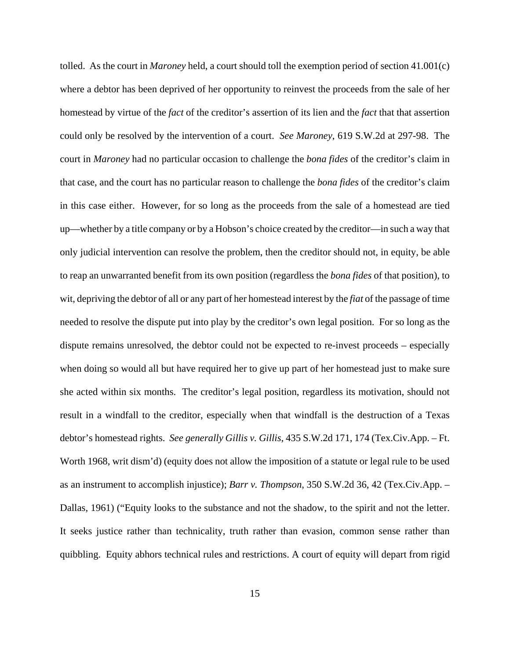tolled. As the court in *Maroney* held, a court should toll the exemption period of section 41.001(c) where a debtor has been deprived of her opportunity to reinvest the proceeds from the sale of her homestead by virtue of the *fact* of the creditor's assertion of its lien and the *fact* that that assertion could only be resolved by the intervention of a court. *See Maroney*, 619 S.W.2d at 297-98. The court in *Maroney* had no particular occasion to challenge the *bona fides* of the creditor's claim in that case, and the court has no particular reason to challenge the *bona fides* of the creditor's claim in this case either. However, for so long as the proceeds from the sale of a homestead are tied up—whether by a title company or by a Hobson's choice created by the creditor—in such a way that only judicial intervention can resolve the problem, then the creditor should not, in equity, be able to reap an unwarranted benefit from its own position (regardless the *bona fides* of that position), to wit, depriving the debtor of all or any part of her homestead interest by the *fiat* of the passage of time needed to resolve the dispute put into play by the creditor's own legal position. For so long as the dispute remains unresolved, the debtor could not be expected to re-invest proceeds – especially when doing so would all but have required her to give up part of her homestead just to make sure she acted within six months. The creditor's legal position, regardless its motivation, should not result in a windfall to the creditor, especially when that windfall is the destruction of a Texas debtor's homestead rights. *See generally Gillis v. Gillis*, 435 S.W.2d 171, 174 (Tex.Civ.App. – Ft. Worth 1968, writ dism'd) (equity does not allow the imposition of a statute or legal rule to be used as an instrument to accomplish injustice); *Barr v. Thompson*, 350 S.W.2d 36, 42 (Tex.Civ.App. – Dallas, 1961) ("Equity looks to the substance and not the shadow, to the spirit and not the letter. It seeks justice rather than technicality, truth rather than evasion, common sense rather than quibbling. Equity abhors technical rules and restrictions. A court of equity will depart from rigid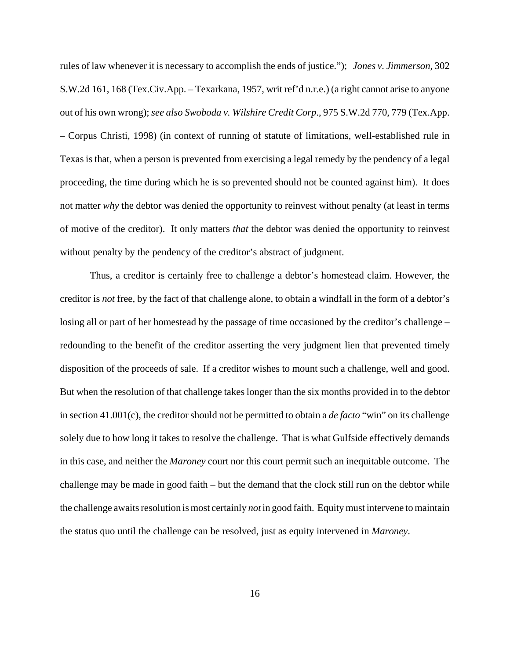rules of law whenever it is necessary to accomplish the ends of justice."); *Jones v. Jimmerson*, 302 S.W.2d 161, 168 (Tex.Civ.App. – Texarkana, 1957, writ ref'd n.r.e.) (a right cannot arise to anyone out of his own wrong); *see also Swoboda v. Wilshire Credit Corp*., 975 S.W.2d 770, 779 (Tex.App. – Corpus Christi, 1998) (in context of running of statute of limitations, well-established rule in Texas is that, when a person is prevented from exercising a legal remedy by the pendency of a legal proceeding, the time during which he is so prevented should not be counted against him). It does not matter *why* the debtor was denied the opportunity to reinvest without penalty (at least in terms of motive of the creditor). It only matters *that* the debtor was denied the opportunity to reinvest without penalty by the pendency of the creditor's abstract of judgment.

Thus, a creditor is certainly free to challenge a debtor's homestead claim. However, the creditor is *not* free, by the fact of that challenge alone, to obtain a windfall in the form of a debtor's losing all or part of her homestead by the passage of time occasioned by the creditor's challenge – redounding to the benefit of the creditor asserting the very judgment lien that prevented timely disposition of the proceeds of sale. If a creditor wishes to mount such a challenge, well and good. But when the resolution of that challenge takes longer than the six months provided in to the debtor in section 41.001(c), the creditor should not be permitted to obtain a *de facto* "win" on its challenge solely due to how long it takes to resolve the challenge. That is what Gulfside effectively demands in this case, and neither the *Maroney* court nor this court permit such an inequitable outcome. The challenge may be made in good faith – but the demand that the clock still run on the debtor while the challenge awaits resolution is most certainly *not* in good faith. Equity must intervene to maintain the status quo until the challenge can be resolved, just as equity intervened in *Maroney*.